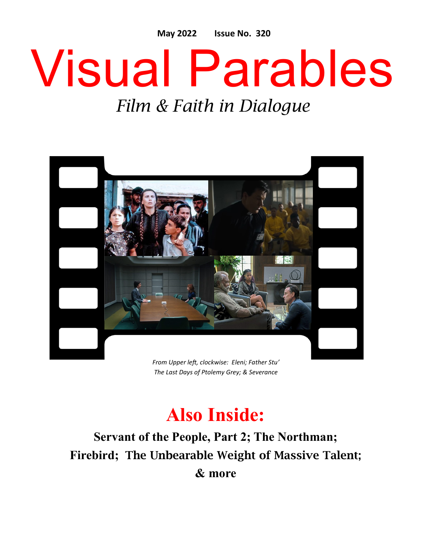**May 2022 Issue No. 320**

# Visual Parables

### *Film & Faith in Dialogue*



*The Last Days of Ptolemy Grey; & Severance*

## **Also Inside:**

**Servant of the People, Part 2; The Northman; Firebird;** The Unbearable Weight of Massive Talent; **& more**